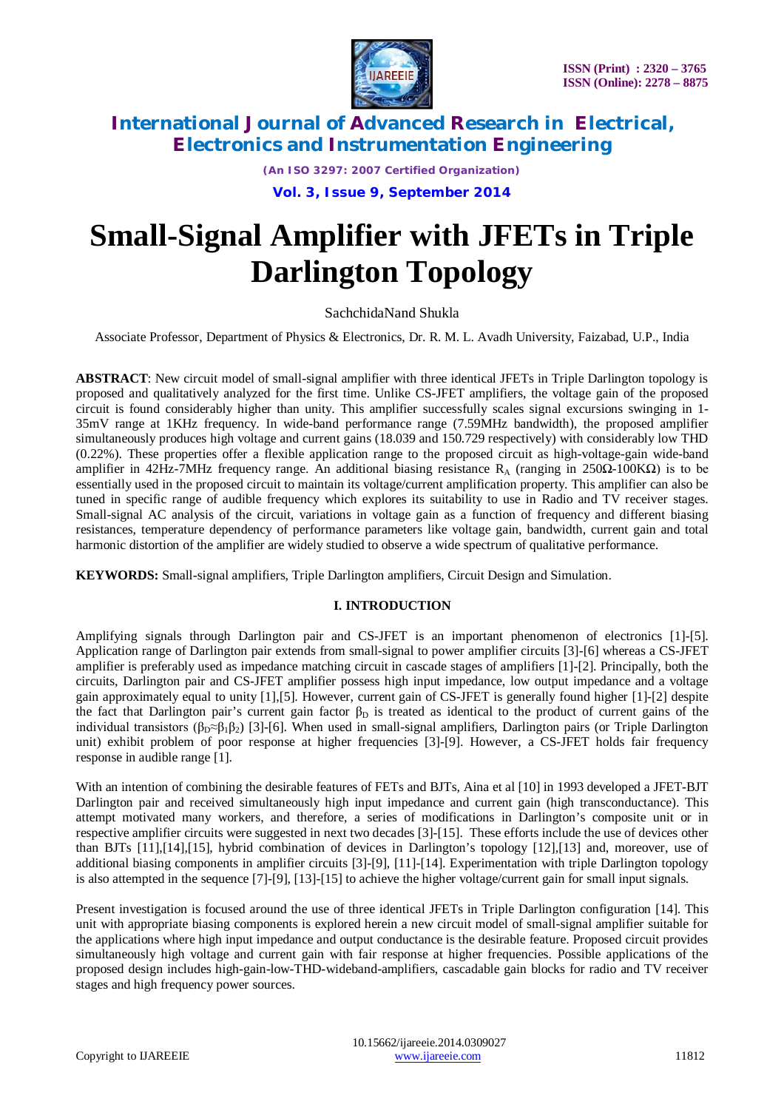

*(An ISO 3297: 2007 Certified Organization)*

**Vol. 3, Issue 9, September 2014**

# **Small-Signal Amplifier with JFETs in Triple Darlington Topology**

SachchidaNand Shukla

Associate Professor, Department of Physics & Electronics, Dr. R. M. L. Avadh University, Faizabad, U.P., India

**ABSTRACT**: New circuit model of small-signal amplifier with three identical JFETs in Triple Darlington topology is proposed and qualitatively analyzed for the first time. Unlike CS-JFET amplifiers, the voltage gain of the proposed circuit is found considerably higher than unity. This amplifier successfully scales signal excursions swinging in 1- 35mV range at 1KHz frequency. In wide-band performance range (7.59MHz bandwidth), the proposed amplifier simultaneously produces high voltage and current gains (18.039 and 150.729 respectively) with considerably low THD (0.22%). These properties offer a flexible application range to the proposed circuit as high-voltage-gain wide-band amplifier in 42Hz-7MHz frequency range. An additional biasing resistance R<sub>A</sub> (ranging in 250Ω-100KΩ) is to be essentially used in the proposed circuit to maintain its voltage/current amplification property. This amplifier can also be tuned in specific range of audible frequency which explores its suitability to use in Radio and TV receiver stages. Small-signal AC analysis of the circuit, variations in voltage gain as a function of frequency and different biasing resistances, temperature dependency of performance parameters like voltage gain, bandwidth, current gain and total harmonic distortion of the amplifier are widely studied to observe a wide spectrum of qualitative performance.

**KEYWORDS:** Small-signal amplifiers, Triple Darlington amplifiers, Circuit Design and Simulation.

#### **I. INTRODUCTION**

Amplifying signals through Darlington pair and CS-JFET is an important phenomenon of electronics [1]-[5]. Application range of Darlington pair extends from small-signal to power amplifier circuits [3]-[6] whereas a CS-JFET amplifier is preferably used as impedance matching circuit in cascade stages of amplifiers [1]-[2]. Principally, both the circuits, Darlington pair and CS-JFET amplifier possess high input impedance, low output impedance and a voltage gain approximately equal to unity [1],[5]. However, current gain of CS-JFET is generally found higher [1]-[2] despite the fact that Darlington pair's current gain factor  $\beta_D$  is treated as identical to the product of current gains of the individual transistors ( $\beta_D \approx \beta_1 \beta_2$ ) [3]-[6]. When used in small-signal amplifiers, Darlington pairs (or Triple Darlington unit) exhibit problem of poor response at higher frequencies [3]-[9]. However, a CS-JFET holds fair frequency response in audible range [1].

With an intention of combining the desirable features of FETs and BJTs, Aina et al [10] in 1993 developed a JFET-BJT Darlington pair and received simultaneously high input impedance and current gain (high transconductance). This attempt motivated many workers, and therefore, a series of modifications in Darlington's composite unit or in respective amplifier circuits were suggested in next two decades [3]-[15]. These efforts include the use of devices other than BJTs [11],[14],[15], hybrid combination of devices in Darlington's topology [12],[13] and, moreover, use of additional biasing components in amplifier circuits [3]-[9], [11]-[14]. Experimentation with triple Darlington topology is also attempted in the sequence [7]-[9], [13]-[15] to achieve the higher voltage/current gain for small input signals.

Present investigation is focused around the use of three identical JFETs in Triple Darlington configuration [14]. This unit with appropriate biasing components is explored herein a new circuit model of small-signal amplifier suitable for the applications where high input impedance and output conductance is the desirable feature. Proposed circuit provides simultaneously high voltage and current gain with fair response at higher frequencies. Possible applications of the proposed design includes high-gain-low-THD-wideband-amplifiers, cascadable gain blocks for radio and TV receiver stages and high frequency power sources.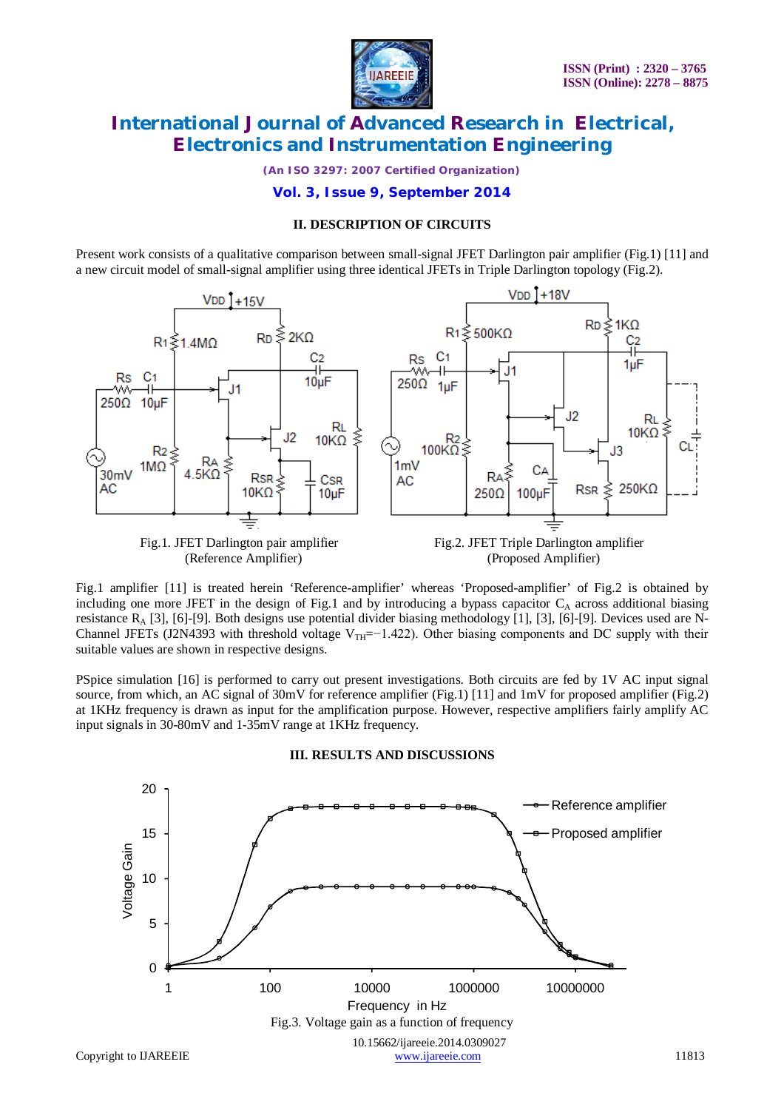

*(An ISO 3297: 2007 Certified Organization)*

**Vol. 3, Issue 9, September 2014**

#### **II. DESCRIPTION OF CIRCUITS**

Present work consists of a qualitative comparison between small-signal JFET Darlington pair amplifier (Fig.1) [11] and a new circuit model of small-signal amplifier using three identical JFETs in Triple Darlington topology (Fig.2).



Fig.1 amplifier [11] is treated herein 'Reference-amplifier' whereas 'Proposed-amplifier' of Fig.2 is obtained by including one more JFET in the design of Fig.1 and by introducing a bypass capacitor  $C_A$  across additional biasing resistance  $R_A$  [3], [6]-[9]. Both designs use potential divider biasing methodology [1], [3], [6]-[9]. Devices used are N-Channel JFETs (J2N4393 with threshold voltage V<sub>TH</sub>=−1.422). Other biasing components and DC supply with their suitable values are shown in respective designs.

PSpice simulation [16] is performed to carry out present investigations. Both circuits are fed by 1V AC input signal source, from which, an AC signal of 30mV for reference amplifier (Fig.1) [11] and 1mV for proposed amplifier (Fig.2) at 1KHz frequency is drawn as input for the amplification purpose. However, respective amplifiers fairly amplify AC input signals in 30-80mV and 1-35mV range at 1KHz frequency.



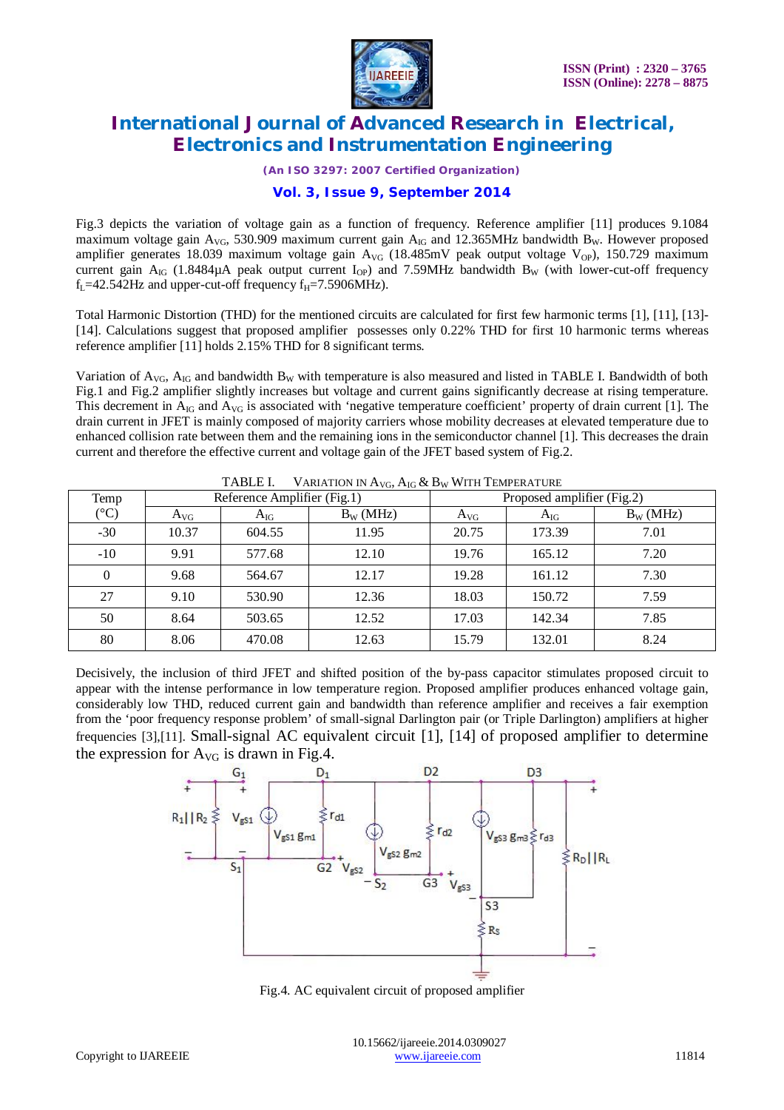

*(An ISO 3297: 2007 Certified Organization)*

### **Vol. 3, Issue 9, September 2014**

Fig.3 depicts the variation of voltage gain as a function of frequency. Reference amplifier [11] produces 9.1084 maximum voltage gain  $A_{\text{VG}}$ , 530.909 maximum current gain  $A_{\text{IG}}$  and 12.365MHz bandwidth B<sub>W</sub>. However proposed amplifier generates 18.039 maximum voltage gain  $A_{\rm VG}$  (18.485mV peak output voltage V<sub>OP</sub>), 150.729 maximum current gain  $A_{IG}$  (1.8484 $\mu$ A peak output current  $I_{OP}$ ) and 7.59MHz bandwidth B<sub>W</sub> (with lower-cut-off frequency  $f_L$ =42.542Hz and upper-cut-off frequency  $f_H$ =7.5906MHz).

Total Harmonic Distortion (THD) for the mentioned circuits are calculated for first few harmonic terms [1], [11], [13]- [14]. Calculations suggest that proposed amplifier possesses only 0.22% THD for first 10 harmonic terms whereas reference amplifier [11] holds 2.15% THD for 8 significant terms.

Variation of  $A_{\rm VG}$ ,  $A_{\rm IG}$  and bandwidth  $B_{\rm W}$  with temperature is also measured and listed in TABLE I. Bandwidth of both Fig.1 and Fig.2 amplifier slightly increases but voltage and current gains significantly decrease at rising temperature. This decrement in  $A_{IG}$  and  $A_{VG}$  is associated with 'negative temperature coefficient' property of drain current [1]. The drain current in JFET is mainly composed of majority carriers whose mobility decreases at elevated temperature due to enhanced collision rate between them and the remaining ions in the semiconductor channel [1]. This decreases the drain current and therefore the effective current and voltage gain of the JFET based system of Fig.2.

| Temp            | Reference Amplifier (Fig.1) |          |             | Proposed amplifier (Fig.2) |          |             |  |
|-----------------|-----------------------------|----------|-------------|----------------------------|----------|-------------|--|
| $({}^{\circ}C)$ | $A_{VG}$                    | $A_{IG}$ | $B_W$ (MHz) | $A_{VG}$                   | $A_{IG}$ | $B_W$ (MHz) |  |
| $-30$           | 10.37                       | 604.55   | 11.95       | 20.75                      | 173.39   | 7.01        |  |
| $-10$           | 9.91                        | 577.68   | 12.10       | 19.76                      | 165.12   | 7.20        |  |
| $\mathbf{0}$    | 9.68                        | 564.67   | 12.17       | 19.28                      | 161.12   | 7.30        |  |
| 27              | 9.10                        | 530.90   | 12.36       | 18.03                      | 150.72   | 7.59        |  |
| 50              | 8.64                        | 503.65   | 12.52       | 17.03                      | 142.34   | 7.85        |  |
| 80              | 8.06                        | 470.08   | 12.63       | 15.79                      | 132.01   | 8.24        |  |

TABLE I. VARIATION IN A<sub>vg</sub>, A<sub>jg</sub> & B<sub>w</sub> With Temperature

Decisively, the inclusion of third JFET and shifted position of the by-pass capacitor stimulates proposed circuit to appear with the intense performance in low temperature region. Proposed amplifier produces enhanced voltage gain, considerably low THD, reduced current gain and bandwidth than reference amplifier and receives a fair exemption from the 'poor frequency response problem' of small-signal Darlington pair (or Triple Darlington) amplifiers at higher frequencies [3],[11]. Small-signal AC equivalent circuit [1], [14] of proposed amplifier to determine the expression for  $A_{\rm VG}$  is drawn in Fig.4.



Fig.4. AC equivalent circuit of proposed amplifier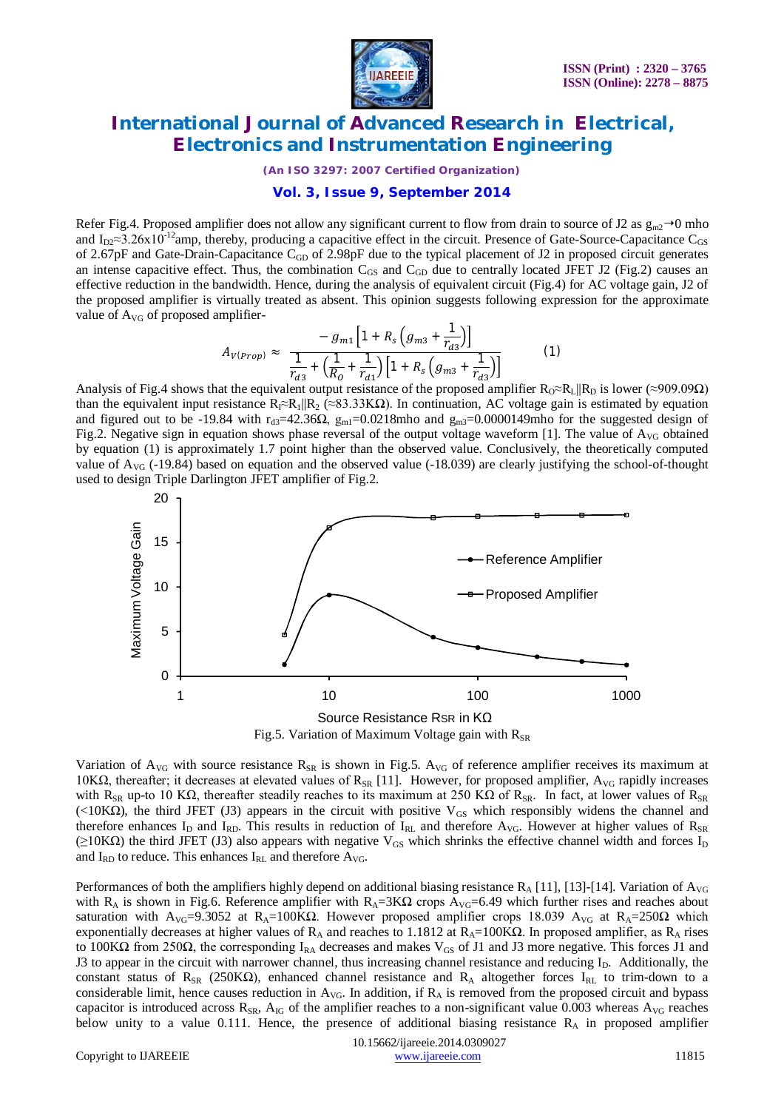

*(An ISO 3297: 2007 Certified Organization)*

#### **Vol. 3, Issue 9, September 2014**

Refer Fig.4. Proposed amplifier does not allow any significant current to flow from drain to source of J2 as  $g_{m2} \rightarrow 0$  mho and  $I_{D2} \approx 3.26 \times 10^{-12}$ amp, thereby, producing a capacitive effect in the circuit. Presence of Gate-Source-Capacitance C<sub>GS</sub> of 2.67pF and Gate-Drain-Capacitance  $C_{GD}$  of 2.98pF due to the typical placement of J2 in proposed circuit generates an intense capacitive effect. Thus, the combination  $C_{GS}$  and  $C_{GD}$  due to centrally located JFET J2 (Fig.2) causes an effective reduction in the bandwidth. Hence, during the analysis of equivalent circuit (Fig.4) for AC voltage gain, J2 of the proposed amplifier is virtually treated as absent. This opinion suggests following expression for the approximate value of  $A_{\rm VG}$  of proposed amplifier-

$$
A_{V(Prop)} \approx \frac{-g_{m1}\left[1 + R_s\left(g_{m3} + \frac{1}{r_{d3}}\right)\right]}{\frac{1}{r_{d3}} + \left(\frac{1}{R_0} + \frac{1}{r_{d1}}\right)\left[1 + R_s\left(g_{m3} + \frac{1}{r_{d3}}\right)\right]}
$$
(1)

Analysis of Fig.4 shows that the equivalent output resistance of the proposed amplifier  $R_0 \propto R_L || R_D$  is lower (≈909.09 $\Omega$ ) than the equivalent input resistance  $R_1 \propto R_1 \| R_2 \propto 83.33 K\Omega$ . In continuation, AC voltage gain is estimated by equation and figured out to be -19.84 with r<sub>d3</sub>=42.36 $\Omega$ ,  $g_{ml}$ =0.0218mho and  $g_{ml}$ =0.0000149mho for the suggested design of Fig.2. Negative sign in equation shows phase reversal of the output voltage waveform [1]. The value of  $A_{\rm VG}$  obtained by equation (1) is approximately 1.7 point higher than the observed value. Conclusively, the theoretically computed value of  $A_{\rm VG}$  (-19.84) based on equation and the observed value (-18.039) are clearly justifying the school-of-thought used to design Triple Darlington JFET amplifier of Fig.2.



Variation of  $A_{\rm VG}$  with source resistance  $R_{\rm SR}$  is shown in Fig.5.  $A_{\rm VG}$  of reference amplifier receives its maximum at 10KΩ, thereafter; it decreases at elevated values of R<sub>SR</sub> [11]. However, for proposed amplifier, A<sub>VG</sub> rapidly increases with R<sub>SR</sub> up-to 10 KΩ, thereafter steadily reaches to its maximum at 250 KΩ of R<sub>SR</sub>. In fact, at lower values of R<sub>SR</sub> (<10K $\Omega$ ), the third JFET (J3) appears in the circuit with positive V<sub>GS</sub> which responsibly widens the channel and therefore enhances  $I_D$  and  $I_{RD}$ . This results in reduction of  $I_{RL}$  and therefore  $A_{VG}$ . However at higher values of  $R_{SR}$  $(≥10KΩ)$  the third JFET (J3) also appears with negative V<sub>GS</sub> which shrinks the effective channel width and forces I<sub>D</sub> and  $I_{RD}$  to reduce. This enhances  $I_{RL}$  and therefore  $A_{VG}$ .

Performances of both the amplifiers highly depend on additional biasing resistance  $R_A$  [11], [13]-[14]. Variation of  $A_{VG}$ with R<sub>A</sub> is shown in Fig.6. Reference amplifier with R<sub>A</sub>=3K $\Omega$  crops A<sub>VG</sub>=6.49 which further rises and reaches about saturation with A<sub>VG</sub>=9.3052 at R<sub>A</sub>=100KΩ. However proposed amplifier crops 18.039 A<sub>VG</sub> at R<sub>A</sub>=250Ω which exponentially decreases at higher values of R<sub>A</sub> and reaches to 1.1812 at R<sub>A</sub>=100KΩ. In proposed amplifier, as R<sub>A</sub> rises to 100KΩ from 250Ω, the corresponding I<sub>RA</sub> decreases and makes V<sub>GS</sub> of J1 and J3 more negative. This forces J1 and J3 to appear in the circuit with narrower channel, thus increasing channel resistance and reducing I<sub>D</sub>. Additionally, the constant status of R<sub>SR</sub> (250KΩ), enhanced channel resistance and R<sub>A</sub> altogether forces I<sub>RL</sub> to trim-down to a considerable limit, hence causes reduction in  $A_{VG}$ . In addition, if  $R_A$  is removed from the proposed circuit and bypass capacitor is introduced across  $R_{SR}$ ,  $A_{IG}$  of the amplifier reaches to a non-significant value 0.003 whereas  $A_{VG}$  reaches below unity to a value 0.111. Hence, the presence of additional biasing resistance  $R_A$  in proposed amplifier

 10.15662/ijareeie.2014.0309027 Copyright to IJAREEIE www.ijareeie.com 11815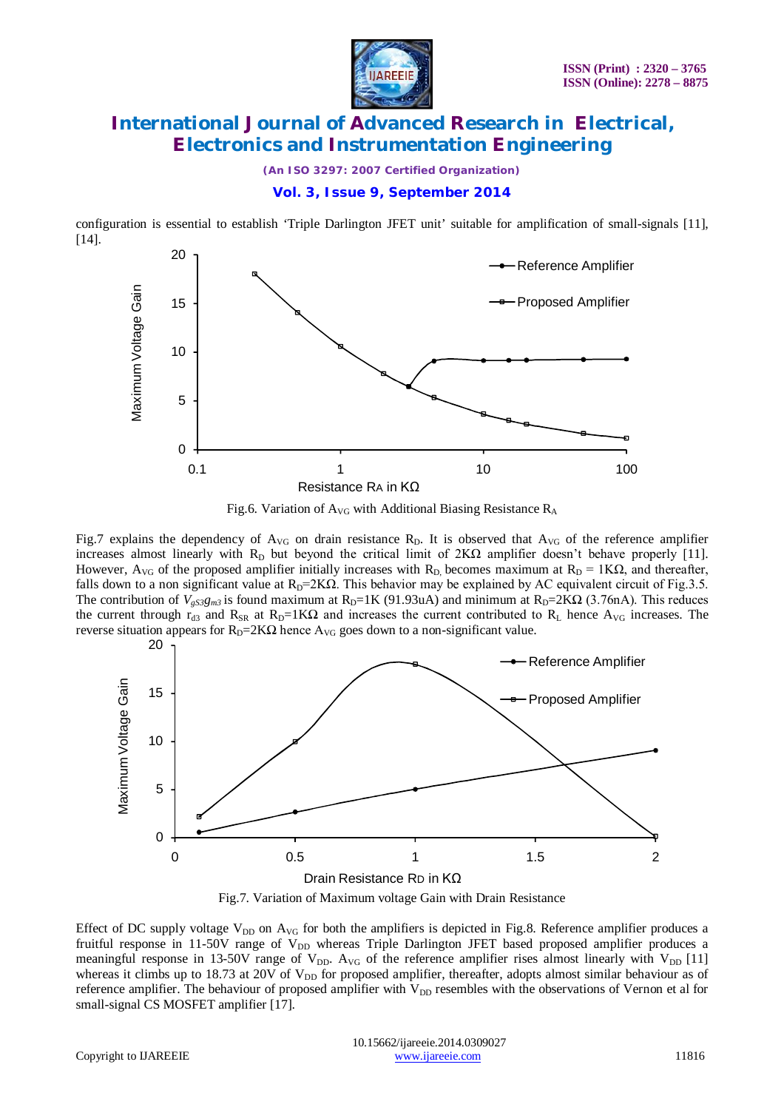

*(An ISO 3297: 2007 Certified Organization)*

#### **Vol. 3, Issue 9, September 2014**

configuration is essential to establish 'Triple Darlington JFET unit' suitable for amplification of small-signals [11], [14].





Fig.7 explains the dependency of  $A_{VG}$  on drain resistance  $R<sub>D</sub>$ . It is observed that  $A_{VG}$  of the reference amplifier increases almost linearly with  $R_D$  but beyond the critical limit of  $2K\Omega$  amplifier doesn't behave properly [11]. However,  $A_{\rm VG}$  of the proposed amplifier initially increases with R<sub>D</sub>, becomes maximum at R<sub>D</sub> = 1K $\Omega$ , and thereafter, falls down to a non significant value at  $R_D=2K\Omega$ . This behavior may be explained by AC equivalent circuit of Fig.3.5. The contribution of  $V_{gS3}g_{m3}$  is found maximum at R<sub>D</sub>=1K (91.93uA) and minimum at R<sub>D</sub>=2K $\Omega$  (3.76nA). This reduces the current through  $r_{d3}$  and  $R_{SR}$  at  $R_D=1K\Omega$  and increases the current contributed to  $R_L$  hence  $A_{VG}$  increases. The reverse situation appears for  $R_D=2K\Omega$  hence  $A_{VG}$  goes down to a non-significant value.



Fig.7. Variation of Maximum voltage Gain with Drain Resistance

Effect of DC supply voltage  $V_{DD}$  on  $A_{VG}$  for both the amplifiers is depicted in Fig.8. Reference amplifier produces a fruitful response in 11-50V range of V<sub>DD</sub> whereas Triple Darlington JFET based proposed amplifier produces a meaningful response in 13-50V range of  $V_{DD}$ . A<sub>VG</sub> of the reference amplifier rises almost linearly with  $V_{DD}$  [11] whereas it climbs up to 18.73 at 20V of  $V_{DD}$  for proposed amplifier, thereafter, adopts almost similar behaviour as of reference amplifier. The behaviour of proposed amplifier with  $V_{DD}$  resembles with the observations of Vernon et al for small-signal CS MOSFET amplifier [17].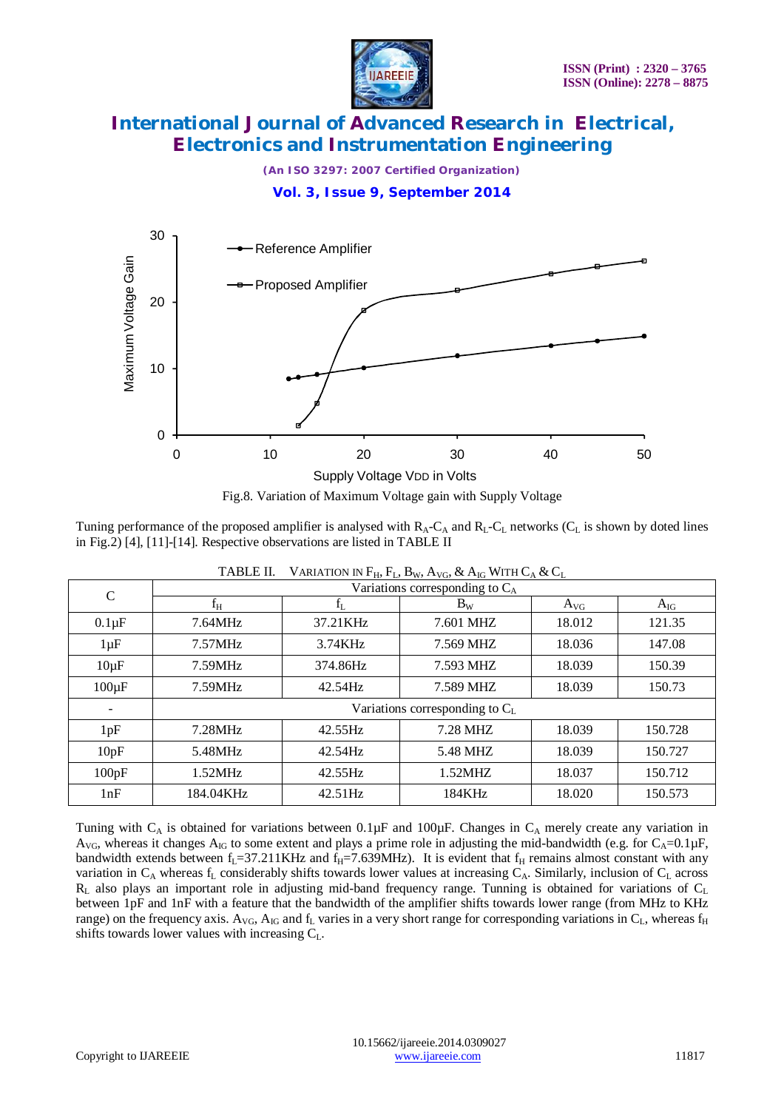

*(An ISO 3297: 2007 Certified Organization)*

**Vol. 3, Issue 9, September 2014**



Fig.8. Variation of Maximum Voltage gain with Supply Voltage

Tuning performance of the proposed amplifier is analysed with  $R_A-C_A$  and  $R_L-C_L$  networks ( $C_L$  is shown by doted lines in Fig.2) [4], [11]-[14]. Respective observations are listed in TABLE II

| $\mathcal{C}$ | Variations corresponding to $C_A$   |          |           |          |          |  |  |  |  |
|---------------|-------------------------------------|----------|-----------|----------|----------|--|--|--|--|
|               | $f_H$                               | fī.      | $B_{W}$   | $A_{VG}$ | $A_{IG}$ |  |  |  |  |
| $0.1\mu F$    | 7.64MHz                             | 37.21KHz | 7.601 MHZ | 18.012   | 121.35   |  |  |  |  |
| $1 \mu F$     | 7.57MHz                             | 3.74KHz  | 7.569 MHZ | 18.036   | 147.08   |  |  |  |  |
| $10\mu F$     | 7.59MHz                             | 374.86Hz | 7.593 MHZ | 18.039   | 150.39   |  |  |  |  |
| $100\mu F$    | 7.59MHz                             | 42.54Hz  | 7.589 MHZ | 18.039   | 150.73   |  |  |  |  |
|               | Variations corresponding to $C_{L}$ |          |           |          |          |  |  |  |  |
| 1pF           | 7.28MHz                             | 42.55Hz  | 7.28 MHZ  | 18.039   | 150.728  |  |  |  |  |
| 10pF          | 5.48MHz                             | 42.54Hz  | 5.48 MHZ  | 18.039   | 150.727  |  |  |  |  |
| 100pF         | 1.52MHz                             | 42.55Hz  | 1.52MHZ   | 18.037   | 150.712  |  |  |  |  |
| 1nF           | 184.04KHz                           | 42.51Hz  | 184KHz    | 18.020   | 150.573  |  |  |  |  |

Tuning with  $C_A$  is obtained for variations between 0.1 $\mu$ F and 100 $\mu$ F. Changes in  $C_A$  merely create any variation in  $A_{\rm VG}$ , whereas it changes  $A_{\rm IG}$  to some extent and plays a prime role in adjusting the mid-bandwidth (e.g. for  $C_{\rm A}=0.1\,\mu\text{F}$ , bandwidth extends between  $f_L = 37.211 \text{KHz}$  and  $f_H = 7.639 \text{MHz}$ ). It is evident that  $f_H$  remains almost constant with any variation in  $C_A$  whereas  $f_L$  considerably shifts towards lower values at increasing  $C_A$ . Similarly, inclusion of  $C_L$  across  $R_L$  also plays an important role in adjusting mid-band frequency range. Tunning is obtained for variations of  $C_L$ between 1pF and 1nF with a feature that the bandwidth of the amplifier shifts towards lower range (from MHz to KHz range) on the frequency axis. A<sub>VG</sub>, A<sub>IG</sub> and f<sub>L</sub> varies in a very short range for corresponding variations in C<sub>L</sub>, whereas f<sub>H</sub> shifts towards lower values with increasing  $C_L$ .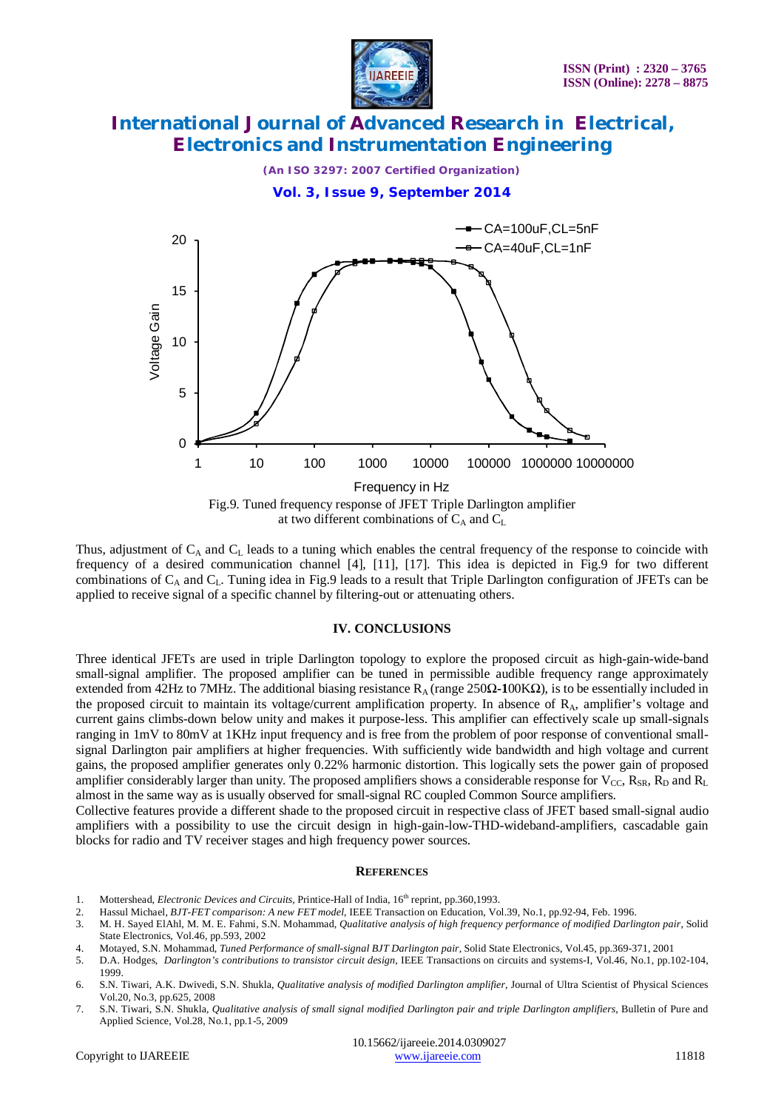



Thus, adjustment of  $C_A$  and  $C_L$  leads to a tuning which enables the central frequency of the response to coincide with frequency of a desired communication channel [4], [11], [17]. This idea is depicted in Fig.9 for two different combinations of  $C_A$  and  $C_L$ . Tuning idea in Fig.9 leads to a result that Triple Darlington configuration of JFETs can be applied to receive signal of a specific channel by filtering-out or attenuating others.

#### **IV. CONCLUSIONS**

Three identical JFETs are used in triple Darlington topology to explore the proposed circuit as high-gain-wide-band small-signal amplifier. The proposed amplifier can be tuned in permissible audible frequency range approximately extended from 42Hz to 7MHz. The additional biasing resistance R<sub>A</sub> (range 250Ω-100KΩ), is to be essentially included in the proposed circuit to maintain its voltage/current amplification property. In absence of RA, amplifier's voltage and current gains climbs-down below unity and makes it purpose-less. This amplifier can effectively scale up small-signals ranging in 1mV to 80mV at 1KHz input frequency and is free from the problem of poor response of conventional smallsignal Darlington pair amplifiers at higher frequencies. With sufficiently wide bandwidth and high voltage and current gains, the proposed amplifier generates only 0.22% harmonic distortion. This logically sets the power gain of proposed amplifier considerably larger than unity. The proposed amplifiers shows a considerable response for  $V_{CC}$ ,  $R_{SR}$ ,  $R_D$  and  $R_L$ almost in the same way as is usually observed for small-signal RC coupled Common Source amplifiers.

Collective features provide a different shade to the proposed circuit in respective class of JFET based small-signal audio amplifiers with a possibility to use the circuit design in high-gain-low-THD-wideband-amplifiers, cascadable gain blocks for radio and TV receiver stages and high frequency power sources.

#### **REFERENCES**

- 1. Mottershead, *Electronic Devices and Circuits*, Printice-Hall of India, 16<sup>th</sup> reprint, pp.360,1993.
- 2. Hassul Michael, *BJT-FET comparison: A new FET model*, IEEE Transaction on Education, Vol.39, No.1, pp.92-94, Feb. 1996.
- 3. M. H. Sayed ElAhl, M. M. E. Fahmi, S.N. Mohammad, *Qualitative analysis of high frequency performance of modified Darlington pair*, Solid State Electronics, Vol.46, pp.593, 2002
- 4. Motayed, S.N. Mohammad, *Tuned Performance of small-signal BJT Darlington pair*, Solid State Electronics, Vol.45, pp.369-371, 2001
- 5. D.A. Hodges, *Darlington's contributions to transistor circuit design*, IEEE Transactions on circuits and systems-I, Vol.46, No.1, pp.102-104, 1999.
- 6. S.N. Tiwari, A.K. Dwivedi, S.N. Shukla, *Qualitative analysis of modified Darlington amplifier*, Journal of Ultra Scientist of Physical Sciences Vol.20, No.3, pp.625, 2008
- 7. S.N. Tiwari, S.N. Shukla, *Qualitative analysis of small signal modified Darlington pair and triple Darlington amplifiers*, Bulletin of Pure and Applied Science, Vol.28, No.1, pp.1-5, 2009